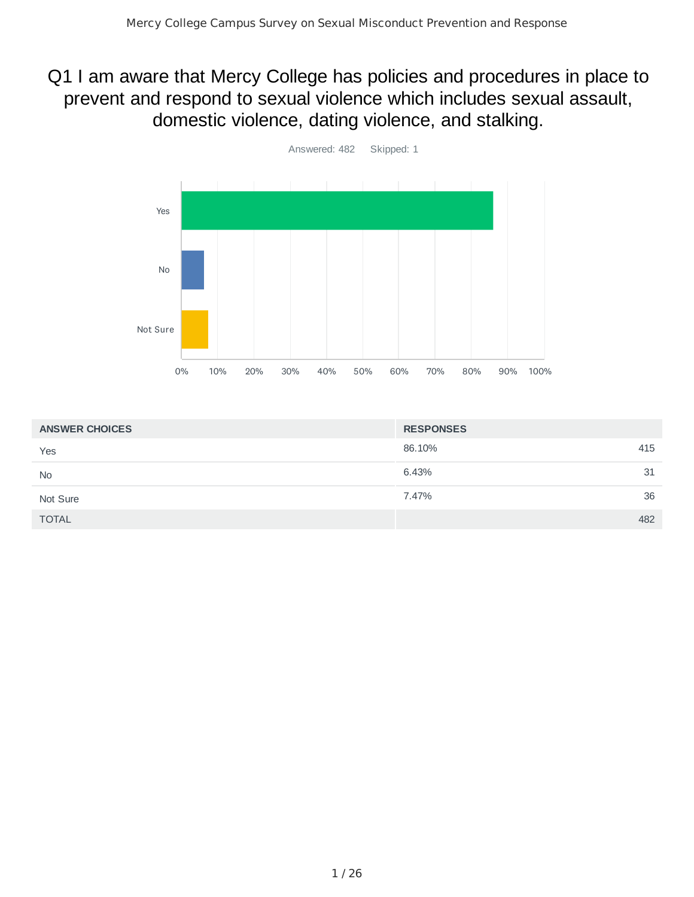## Q1 I am aware that Mercy College has policies and procedures in place to prevent and respond to sexual violence which includes sexual assault, domestic violence, dating violence, and stalking.



| <b>ANSWER CHOICES</b> | <b>RESPONSES</b> |
|-----------------------|------------------|
| Yes                   | 86.10%<br>415    |
| <b>No</b>             | 6.43%<br>31      |
| Not Sure              | 36<br>7.47%      |
| <b>TOTAL</b>          | 482              |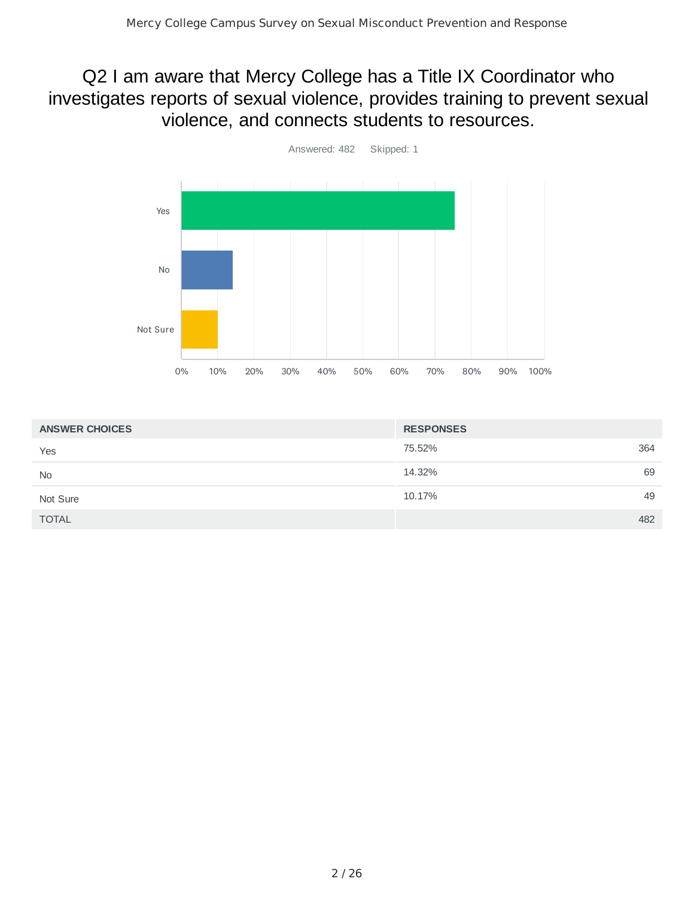## Q2 I am aware that Mercy College has a Title IX Coordinator who investigates reports of sexual violence, provides training to prevent sexual violence, and connects students to resources.



| <b>ANSWER CHOICES</b> | <b>RESPONSES</b> |
|-----------------------|------------------|
| Yes                   | 75.52%<br>364    |
| <b>No</b>             | 69<br>14.32%     |
| Not Sure              | 49<br>10.17%     |
| <b>TOTAL</b>          | 482              |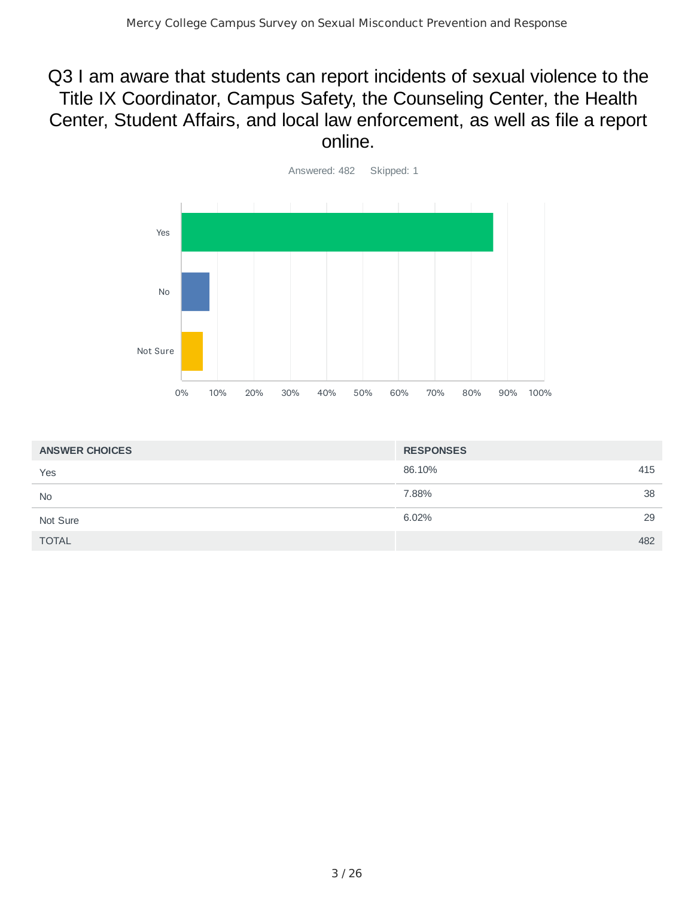#### Q3 I am aware that students can report incidents of sexual violence to the Title IX Coordinator, Campus Safety, the Counseling Center, the Health Center, Student Affairs, and local law enforcement, as well as file a report online.



| <b>ANSWER CHOICES</b> | <b>RESPONSES</b> |
|-----------------------|------------------|
| Yes                   | 86.10%<br>415    |
| <b>No</b>             | 38<br>7.88%      |
| Not Sure              | 29<br>6.02%      |
| <b>TOTAL</b>          | 482              |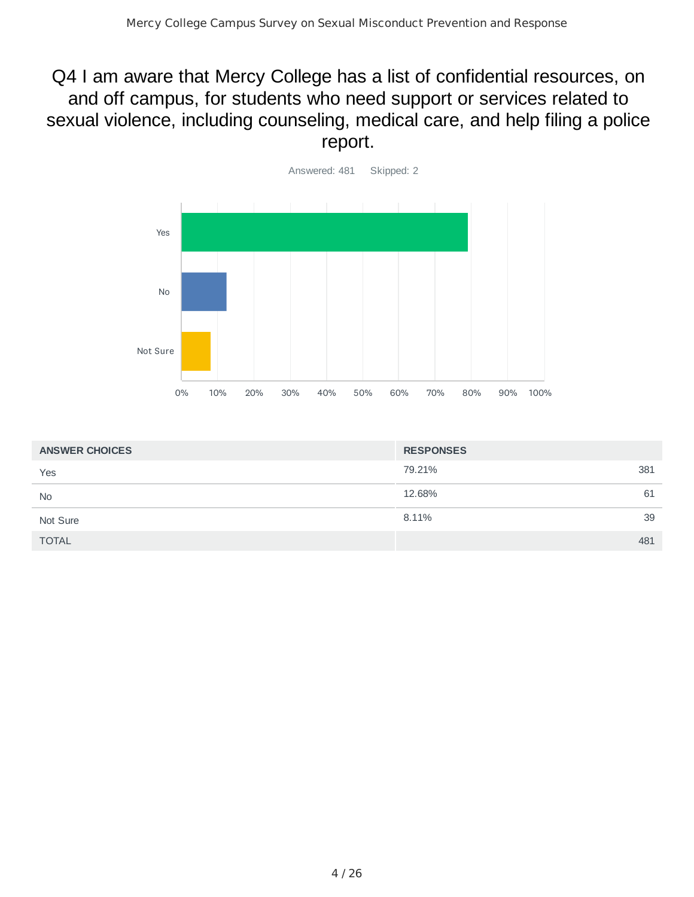## Q4 I am aware that Mercy College has a list of confidential resources, on and off campus, for students who need support or services related to sexual violence, including counseling, medical care, and help filing a police report.



| <b>ANSWER CHOICES</b> | <b>RESPONSES</b> |
|-----------------------|------------------|
| Yes                   | 79.21%<br>381    |
| <b>No</b>             | 12.68%<br>61     |
| Not Sure              | 39<br>8.11%      |
| <b>TOTAL</b>          | 481              |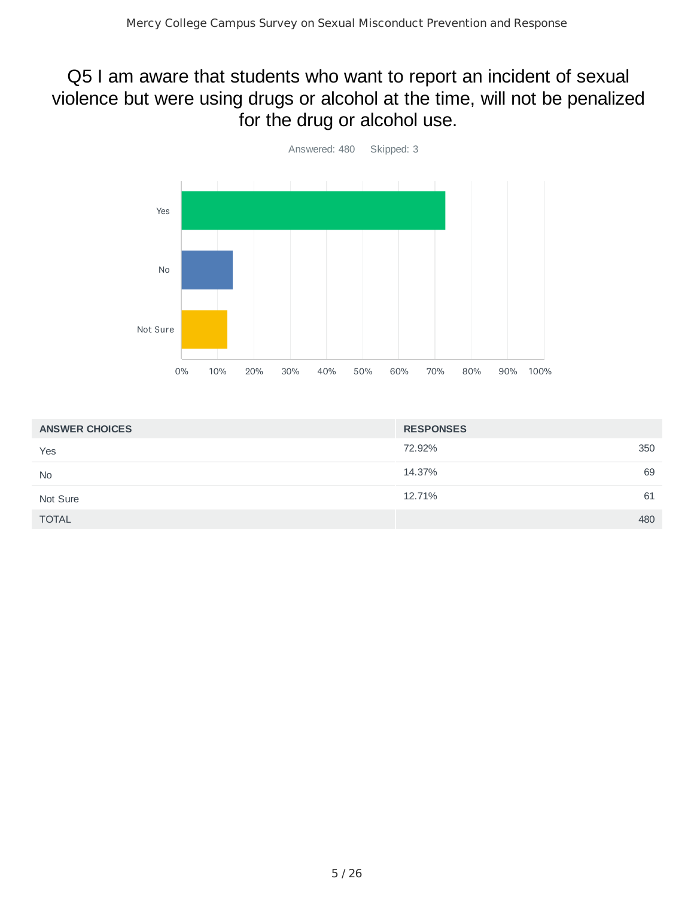## Q5 I am aware that students who want to report an incident of sexual violence but were using drugs or alcohol at the time, will not be penalized for the drug or alcohol use.



| <b>ANSWER CHOICES</b> | <b>RESPONSES</b> |
|-----------------------|------------------|
| Yes                   | 350<br>72.92%    |
| <b>No</b>             | 69<br>14.37%     |
| Not Sure              | 12.71%<br>61     |
| <b>TOTAL</b>          | 480              |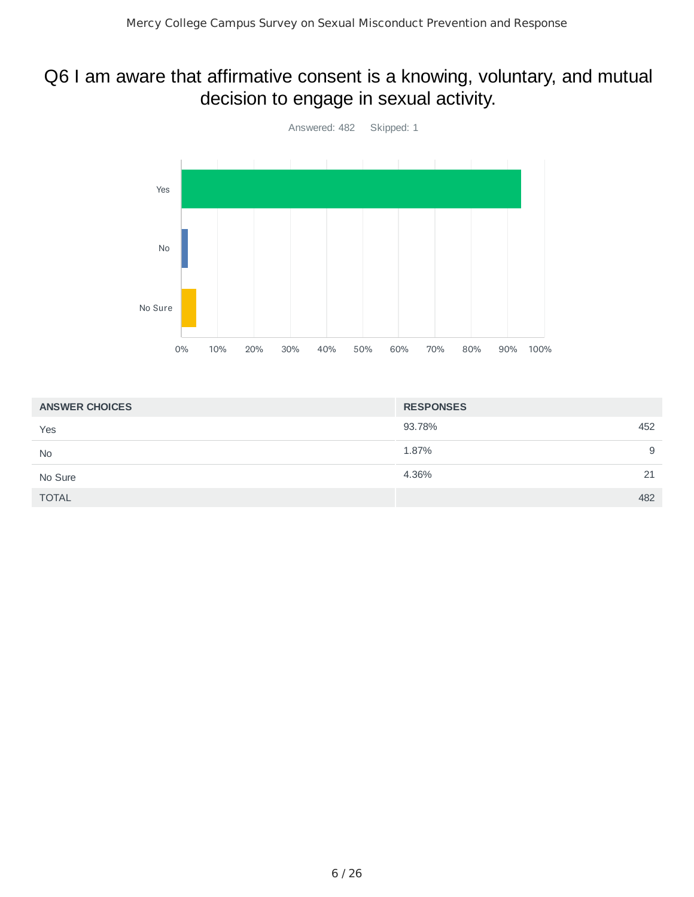## Q6 I am aware that affirmative consent is a knowing, voluntary, and mutual decision to engage in sexual activity.



| <b>ANSWER CHOICES</b> | <b>RESPONSES</b> |
|-----------------------|------------------|
| Yes                   | 93.78%<br>452    |
| <b>No</b>             | 1.87%<br>9       |
| No Sure               | 4.36%<br>21      |
| <b>TOTAL</b>          | 482              |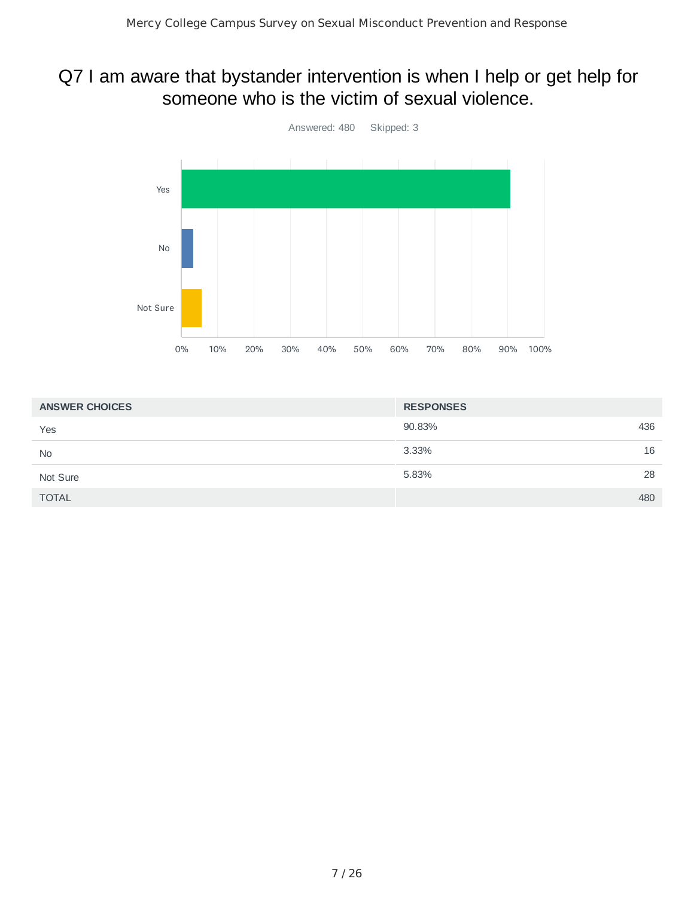#### Q7 I am aware that bystander intervention is when I help or get help for someone who is the victim of sexual violence.



| <b>ANSWER CHOICES</b> | <b>RESPONSES</b> |
|-----------------------|------------------|
| Yes                   | 436<br>90.83%    |
| <b>No</b>             | 3.33%<br>16      |
| Not Sure              | 28<br>5.83%      |
| <b>TOTAL</b>          | 480              |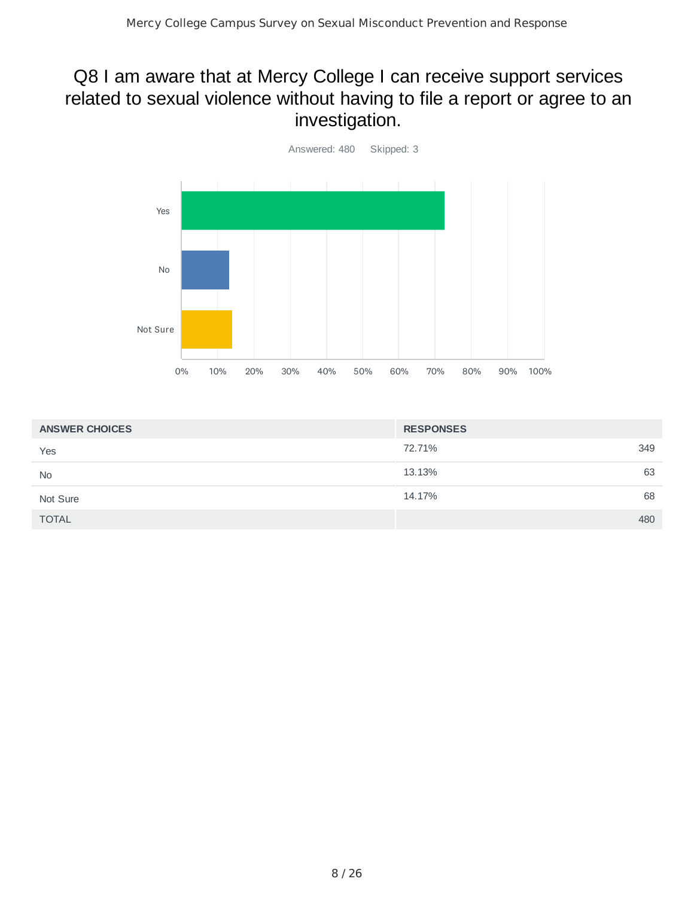## Q8 I am aware that at Mercy College I can receive support services related to sexual violence without having to file a report or agree to an investigation.



| <b>ANSWER CHOICES</b> | <b>RESPONSES</b> |
|-----------------------|------------------|
| Yes                   | 349<br>72.71%    |
| <b>No</b>             | 63<br>13.13%     |
| Not Sure              | 68<br>14.17%     |
| <b>TOTAL</b>          | 480              |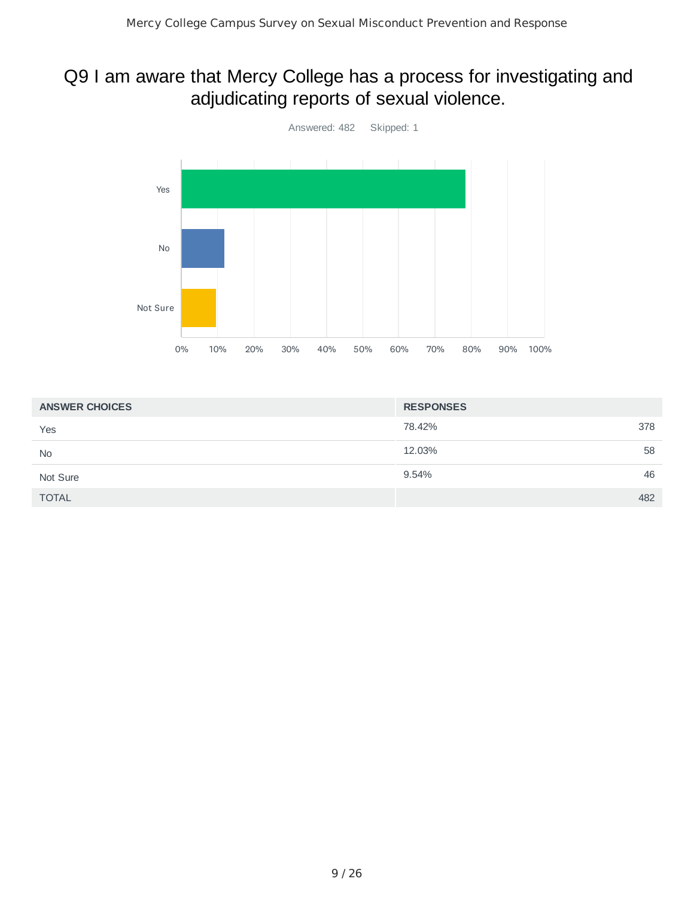## Q9 I am aware that Mercy College has a process for investigating and adjudicating reports of sexual violence.



| <b>ANSWER CHOICES</b> | <b>RESPONSES</b> |
|-----------------------|------------------|
| Yes                   | 78.42%<br>378    |
| <b>No</b>             | 12.03%<br>58     |
| Not Sure              | 46<br>9.54%      |
| <b>TOTAL</b>          | 482              |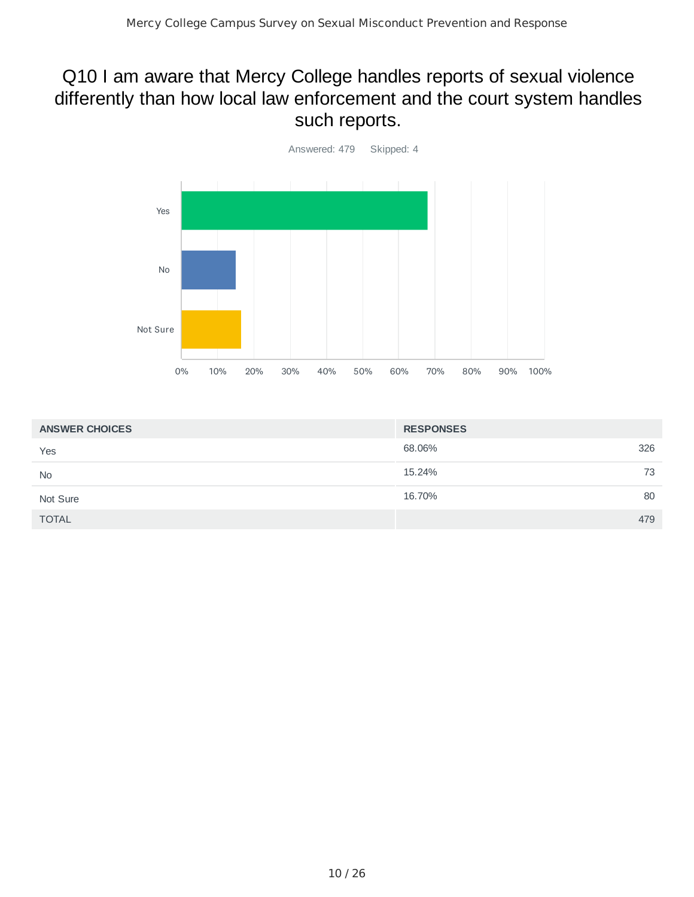## Q10 I am aware that Mercy College handles reports of sexual violence differently than how local law enforcement and the court system handles such reports.



| <b>ANSWER CHOICES</b> | <b>RESPONSES</b> |
|-----------------------|------------------|
| Yes                   | 326<br>68.06%    |
| <b>No</b>             | 73<br>15.24%     |
| Not Sure              | 80<br>16.70%     |
| <b>TOTAL</b>          | 479              |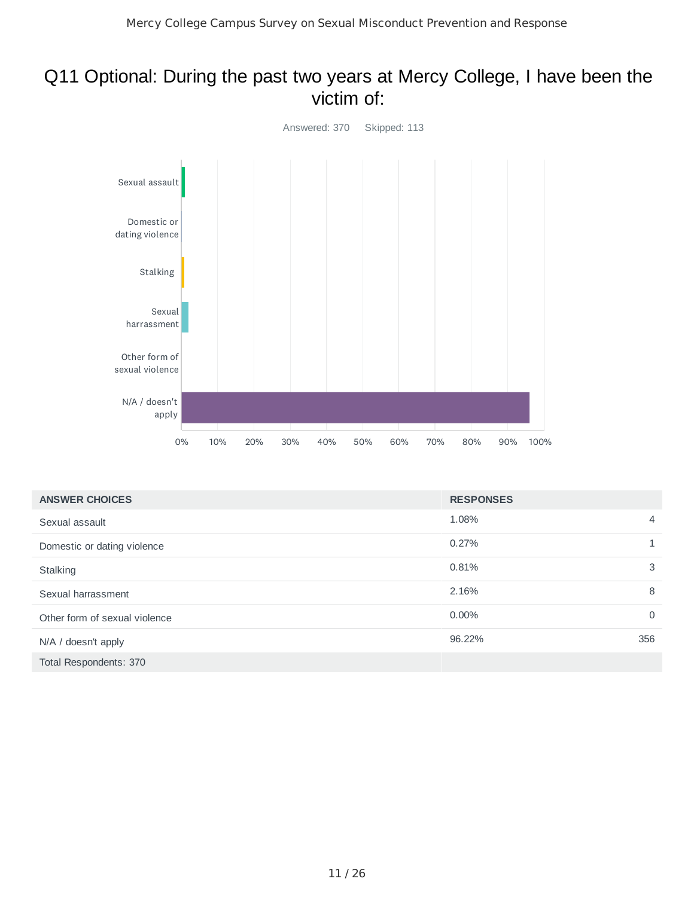#### Q11 Optional: During the past two years at Mercy College, I have been the victim of:



| <b>ANSWER CHOICES</b>         | <b>RESPONSES</b> |                |
|-------------------------------|------------------|----------------|
| Sexual assault                | 1.08%            | $\overline{4}$ |
| Domestic or dating violence   | 0.27%            |                |
| Stalking                      | 0.81%            | 3              |
| Sexual harrassment            | 2.16%            | 8              |
| Other form of sexual violence | $0.00\%$         | $\mathbf{0}$   |
| N/A / doesn't apply           | 96.22%           | 356            |
| Total Respondents: 370        |                  |                |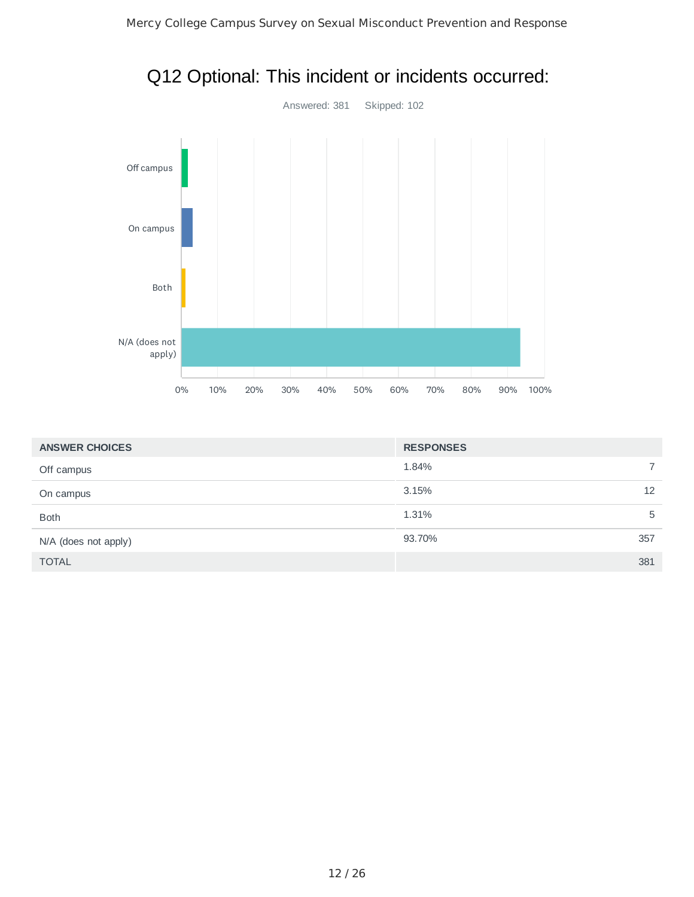

| Q12 Optional: This incident or incidents occurred: |  |
|----------------------------------------------------|--|
|----------------------------------------------------|--|

| <b>ANSWER CHOICES</b> | <b>RESPONSES</b> |     |
|-----------------------|------------------|-----|
| Off campus            | 1.84%            |     |
| On campus             | 3.15%            | 12  |
| <b>Both</b>           | 1.31%            | 5   |
| N/A (does not apply)  | 93.70%           | 357 |
| <b>TOTAL</b>          |                  | 381 |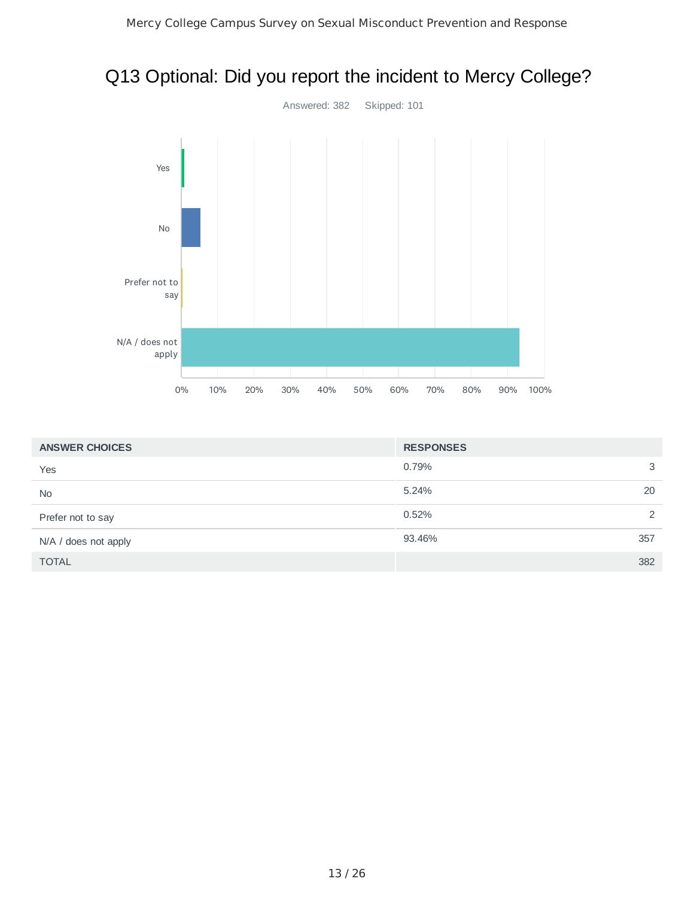## Q13 Optional: Did you report the incident to Mercy College?



| <b>ANSWER CHOICES</b> | <b>RESPONSES</b> |     |
|-----------------------|------------------|-----|
| Yes                   | 0.79%            | 3   |
| <b>No</b>             | 5.24%            | 20  |
| Prefer not to say     | 0.52%            | 2   |
| N/A / does not apply  | 93.46%           | 357 |
| <b>TOTAL</b>          |                  | 382 |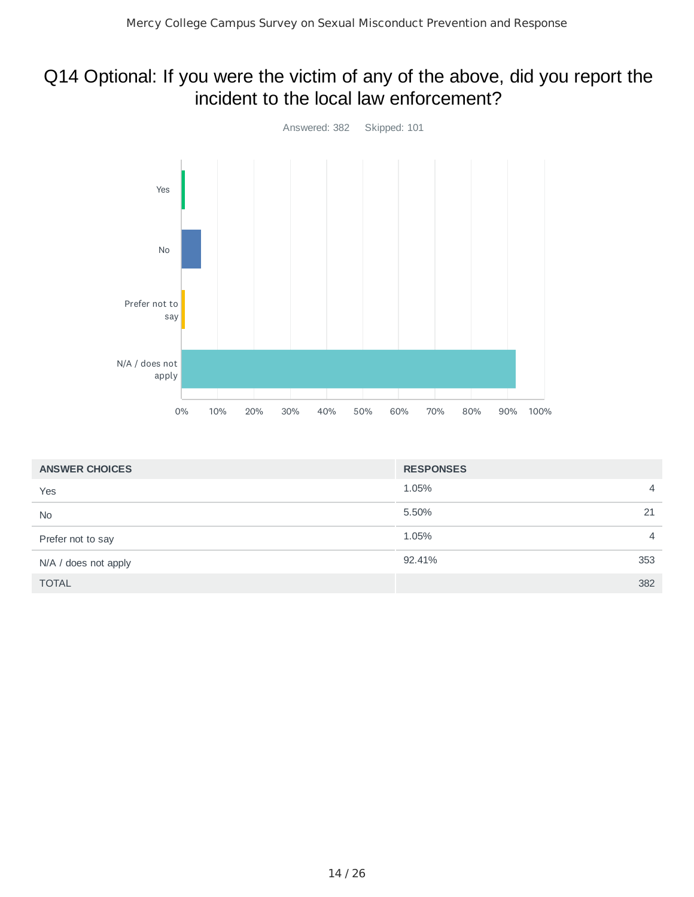## Q14 Optional: If you were the victim of any of the above, did you report the incident to the local law enforcement?



| <b>ANSWER CHOICES</b> | <b>RESPONSES</b> |                |
|-----------------------|------------------|----------------|
| Yes                   | 1.05%            | $\overline{4}$ |
| <b>No</b>             | 5.50%            | 21             |
| Prefer not to say     | 1.05%            | $\overline{4}$ |
| N/A / does not apply  | 92.41%           | 353            |
| <b>TOTAL</b>          |                  | 382            |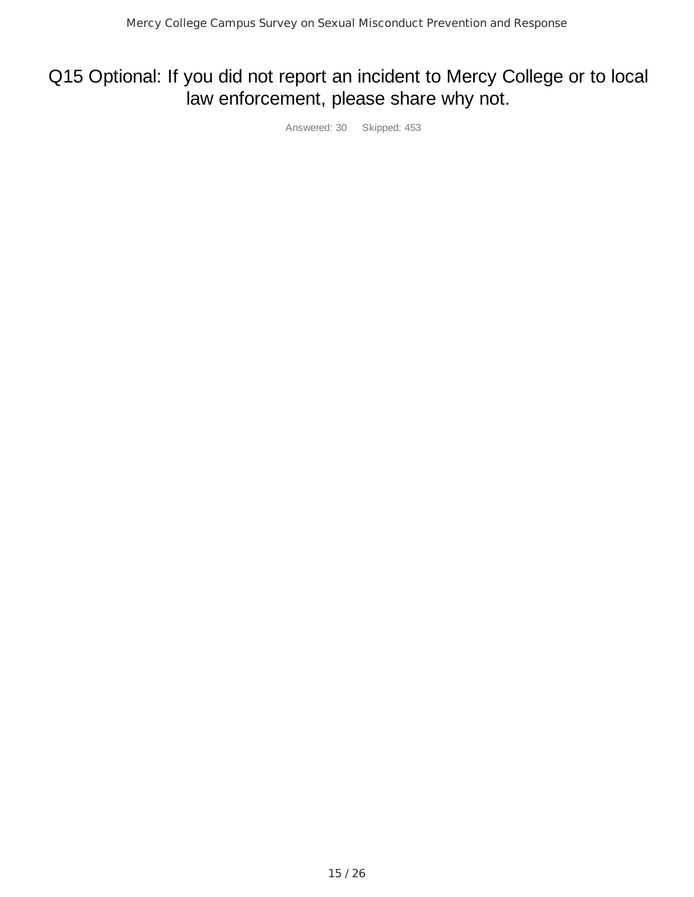## Q15 Optional: If you did not report an incident to Mercy College or to local law enforcement, please share why not.

Answered: 30 Skipped: 453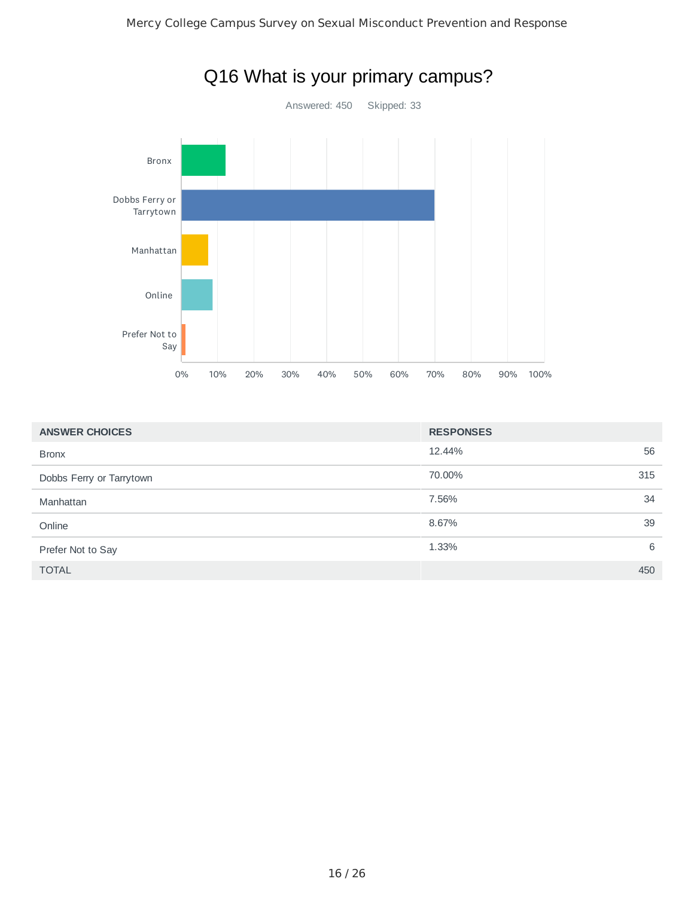

| <b>ANSWER CHOICES</b>    | <b>RESPONSES</b> |     |
|--------------------------|------------------|-----|
| <b>Bronx</b>             | 12.44%           | 56  |
| Dobbs Ferry or Tarrytown | 70.00%           | 315 |
| Manhattan                | 7.56%            | 34  |
| Online                   | 8.67%            | 39  |
| Prefer Not to Say        | 1.33%            | 6   |
| <b>TOTAL</b>             |                  | 450 |

## Q16 What is your primary campus?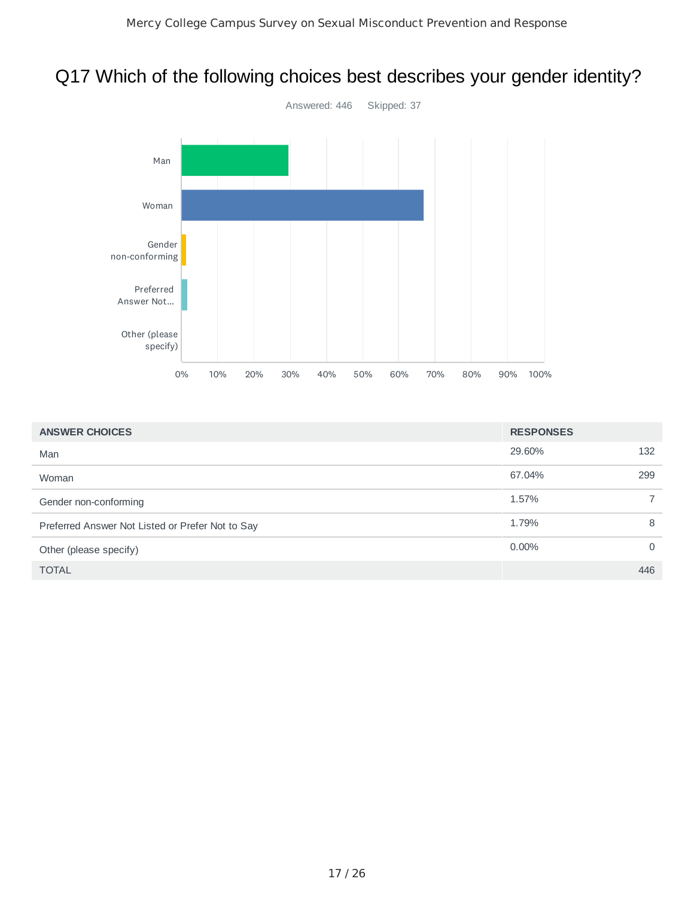# Q17 Which of the following choices best describes your gender identity?



| <b>ANSWER CHOICES</b>                            | <b>RESPONSES</b> |                |
|--------------------------------------------------|------------------|----------------|
| Man                                              | 29.60%           | 132            |
| Woman                                            | 67.04%           | 299            |
| Gender non-conforming                            | 1.57%            | $\overline{7}$ |
| Preferred Answer Not Listed or Prefer Not to Say | 1.79%            | 8              |
| Other (please specify)                           | $0.00\%$         | $\Omega$       |
| <b>TOTAL</b>                                     |                  | 446            |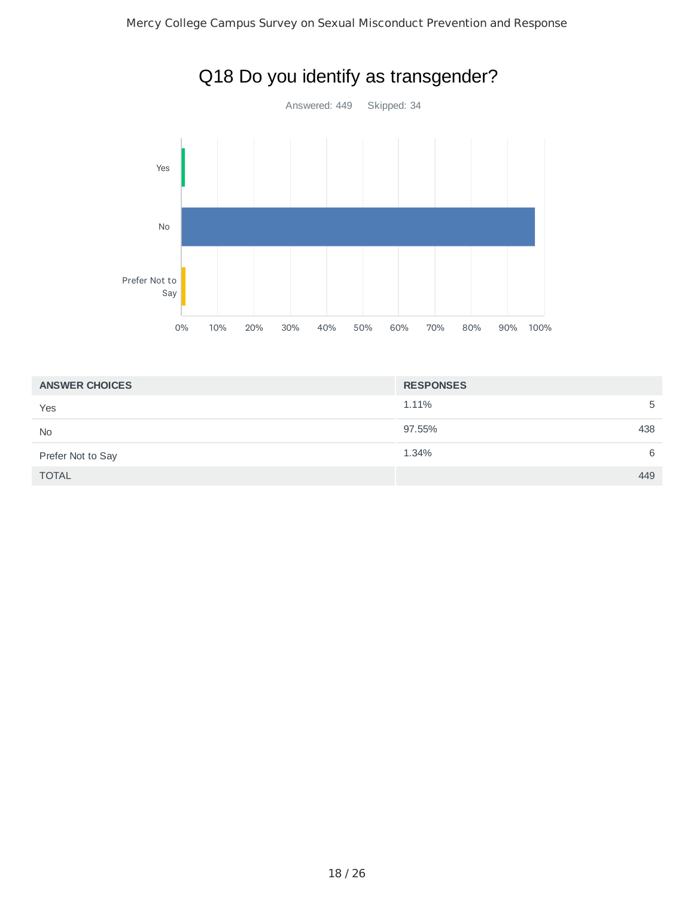

| <b>ANSWER CHOICES</b> | <b>RESPONSES</b> |
|-----------------------|------------------|
| Yes                   | 1.11%<br>5       |
| <b>No</b>             | 438<br>97.55%    |
| Prefer Not to Say     | 1.34%<br>6       |
| <b>TOTAL</b>          | 449              |

# Q18 Do you identify as transgender?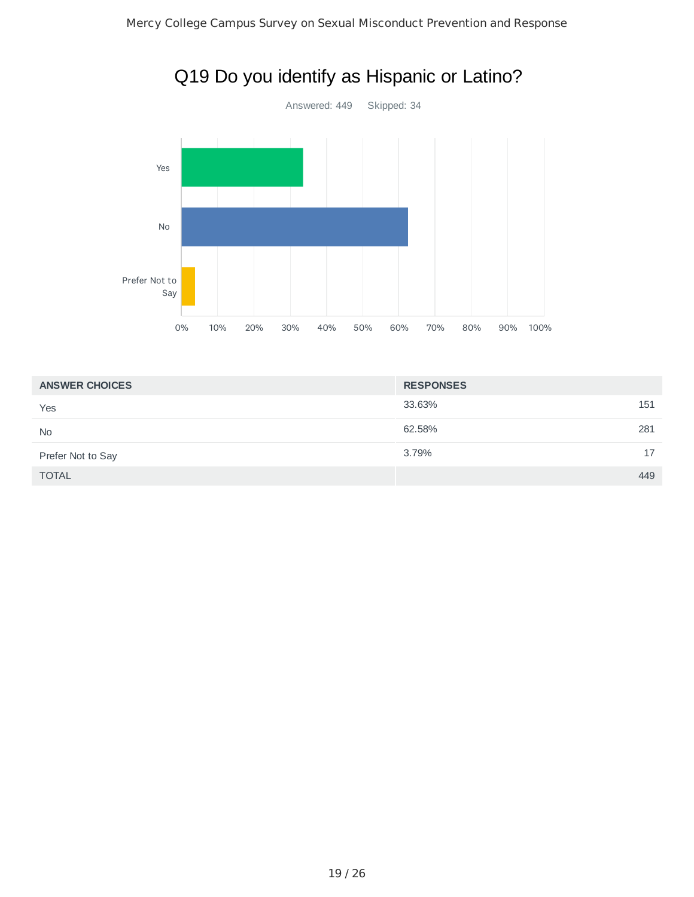

## Q19 Do you identify as Hispanic or Latino?

| <b>ANSWER CHOICES</b> | <b>RESPONSES</b> |
|-----------------------|------------------|
| Yes                   | 33.63%<br>151    |
| <b>No</b>             | 62.58%<br>281    |
| Prefer Not to Say     | 3.79%<br>17      |
| <b>TOTAL</b>          | 449              |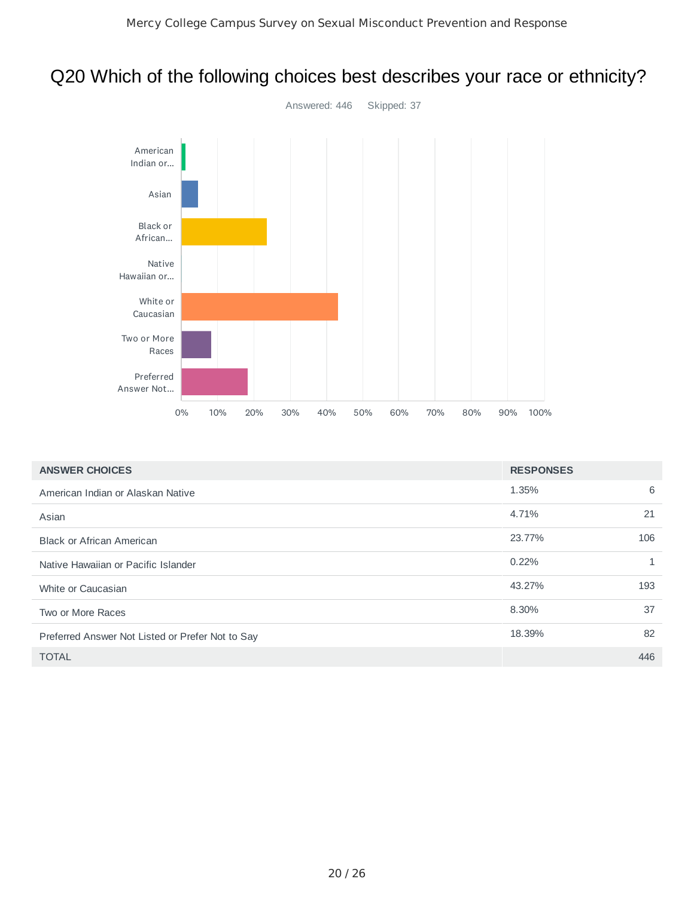## Q20 Which of the following choices best describes your race or ethnicity?



| <b>ANSWER CHOICES</b>                            | <b>RESPONSES</b> |     |
|--------------------------------------------------|------------------|-----|
| American Indian or Alaskan Native                | 1.35%            | 6   |
| Asian                                            | 4.71%            | 21  |
| <b>Black or African American</b>                 | 23.77%           | 106 |
| Native Hawaiian or Pacific Islander              | 0.22%            | 1   |
| White or Caucasian                               | 43.27%           | 193 |
| Two or More Races                                | 8.30%            | 37  |
| Preferred Answer Not Listed or Prefer Not to Say | 18.39%           | 82  |
| <b>TOTAL</b>                                     |                  | 446 |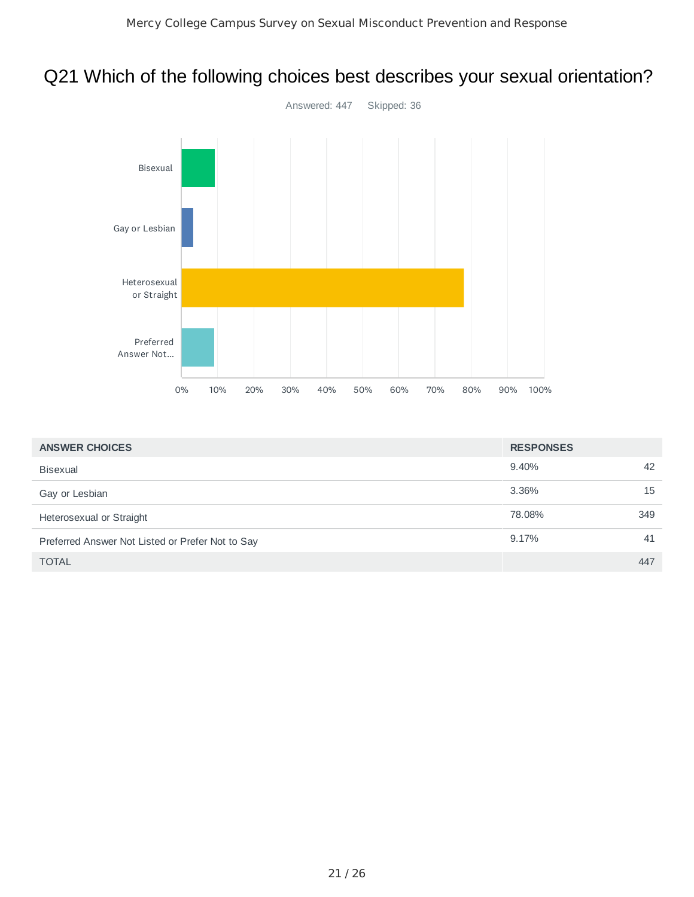## Q21 Which of the following choices best describes your sexual orientation?



| <b>ANSWER CHOICES</b>                            | <b>RESPONSES</b> |     |
|--------------------------------------------------|------------------|-----|
| <b>Bisexual</b>                                  | 9.40%            | 42  |
| Gay or Lesbian                                   | 3.36%            | 15  |
| Heterosexual or Straight                         | 78.08%           | 349 |
| Preferred Answer Not Listed or Prefer Not to Say | 9.17%            | 41  |
| <b>TOTAL</b>                                     |                  | 447 |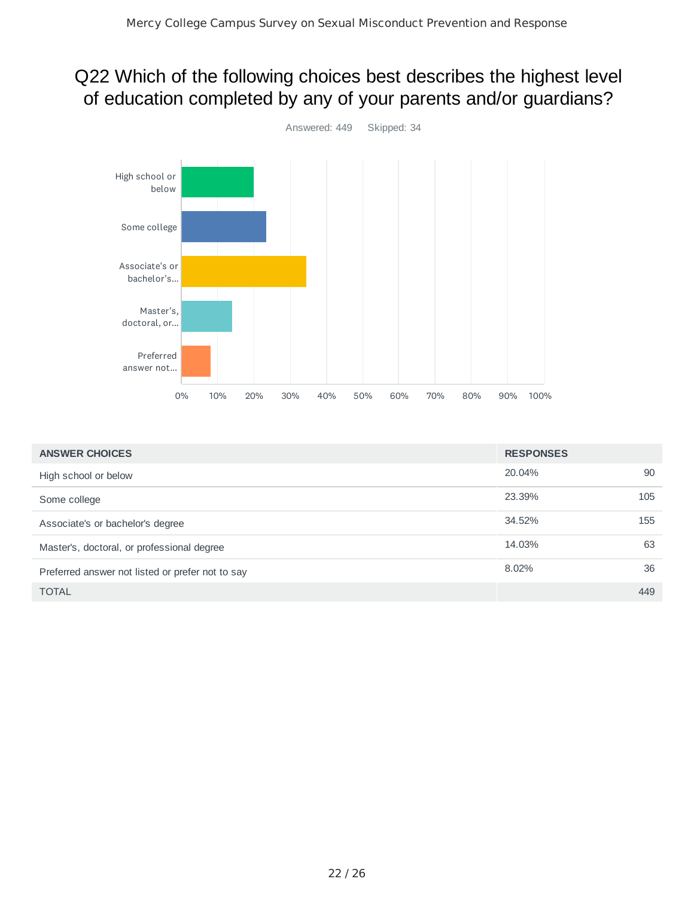## Q22 Which of the following choices best describes the highest level of education completed by any of your parents and/or guardians?



| <b>ANSWER CHOICES</b>                            | <b>RESPONSES</b> |     |
|--------------------------------------------------|------------------|-----|
| High school or below                             | 20.04%           | 90  |
| Some college                                     | 23.39%           | 105 |
| Associate's or bachelor's degree                 | 34.52%           | 155 |
| Master's, doctoral, or professional degree       | 14.03%           | 63  |
| Preferred answer not listed or prefer not to say | 8.02%            | 36  |
| <b>TOTAL</b>                                     |                  | 449 |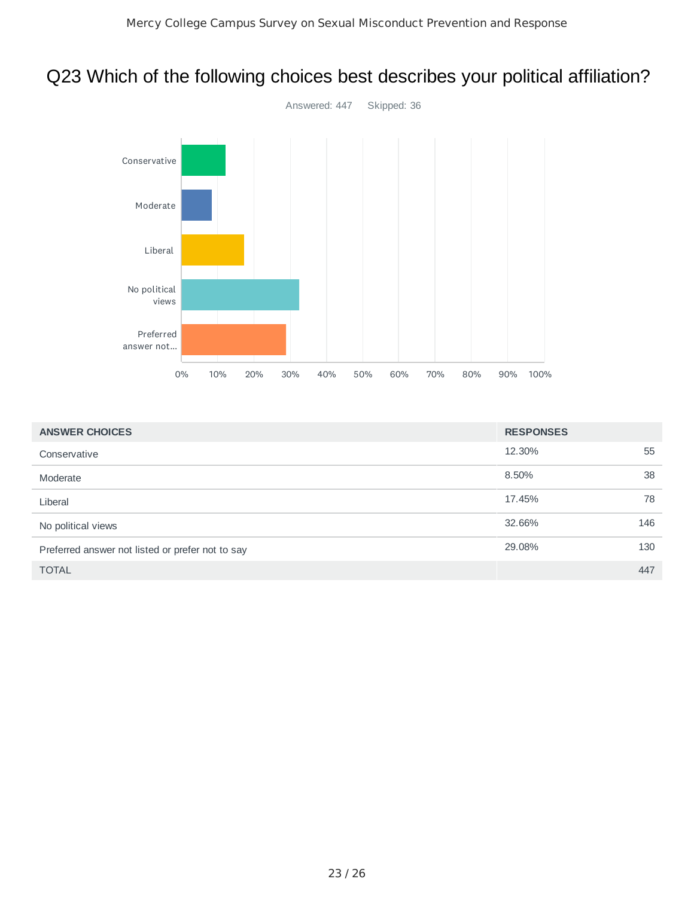## Q23 Which of the following choices best describes your political affiliation?



| <b>ANSWER CHOICES</b>                            | <b>RESPONSES</b> |     |
|--------------------------------------------------|------------------|-----|
| Conservative                                     | 12.30%           | 55  |
| Moderate                                         | 8.50%            | 38  |
| Liberal                                          | 17.45%           | 78  |
| No political views                               | 32.66%           | 146 |
| Preferred answer not listed or prefer not to say | 29.08%           | 130 |
| <b>TOTAL</b>                                     |                  | 447 |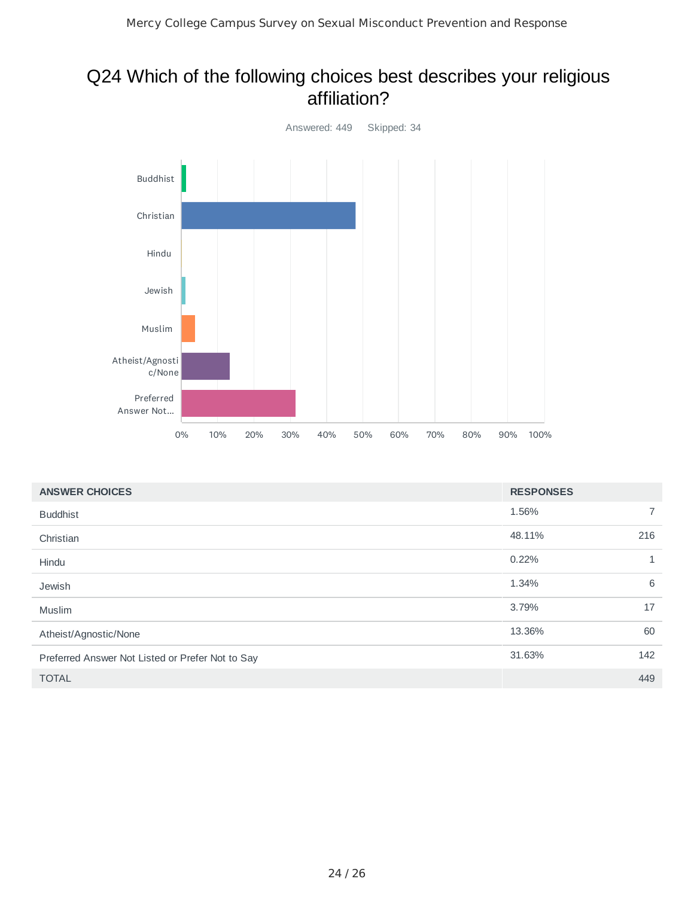#### Q24 Which of the following choices best describes your religious affiliation?



| <b>ANSWER CHOICES</b>                            | <b>RESPONSES</b> |              |
|--------------------------------------------------|------------------|--------------|
| <b>Buddhist</b>                                  | 1.56%            | 7            |
| Christian                                        | 48.11%           | 216          |
| Hindu                                            | 0.22%            | $\mathbf{1}$ |
| Jewish                                           | 1.34%            | 6            |
| Muslim                                           | 3.79%            | 17           |
| Atheist/Agnostic/None                            | 13.36%           | 60           |
| Preferred Answer Not Listed or Prefer Not to Say | 31.63%           | 142          |
| <b>TOTAL</b>                                     |                  | 449          |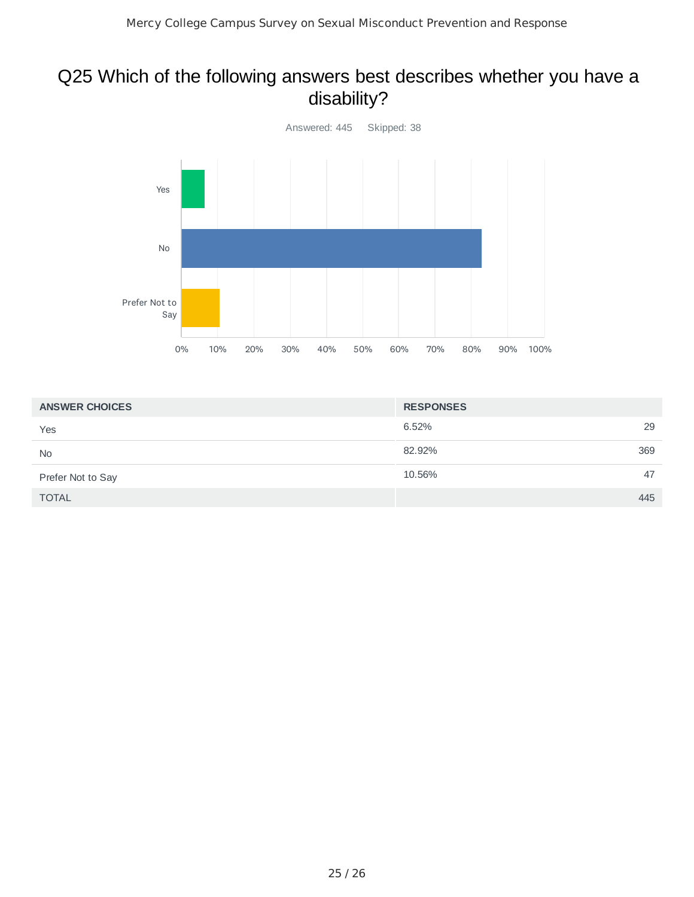## Q25 Which of the following answers best describes whether you have a disability?



| <b>ANSWER CHOICES</b> | <b>RESPONSES</b> |
|-----------------------|------------------|
| Yes                   | 29<br>6.52%      |
| <b>No</b>             | 82.92%<br>369    |
| Prefer Not to Say     | 10.56%<br>47     |
| <b>TOTAL</b>          | 445              |